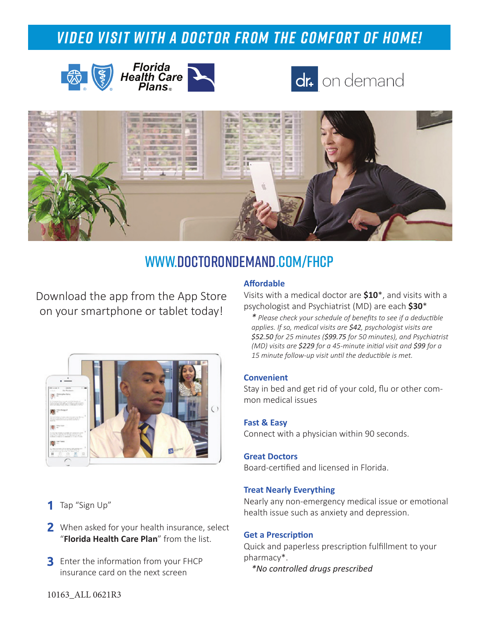# *VIDEO VISIT WITH A DOCTOR FROM THE COMFORT OF HOME!*









## www.doctorondemand.com/fhcp

Download the app from the App Store on your smartphone or tablet today!



- Tap "Sign Up" **1**
- When asked for your health insurance, select **2** "**Florida Health Care Plan**" from the list.
- Enter the information from your FHCP **3** insurance card on the next screen

#### **Affordable**

Visits with a medical doctor are **\$10**\*, and visits with a psychologist and Psychiatrist (MD) are each **\$30**\*

*\* Please check your schedule of benefits to see if a deductible applies. If so, medical visits are \$42, psychologist visits are \$52.50 for 25 minutes (\$99.75 for 50 minutes), and Psychiatrist (MD) visits are \$229 for a 45-minute initial visit and \$99 for a 15 minute follow-up visit until the deductible is met.*

#### **Convenient**

Stay in bed and get rid of your cold, flu or other common medical issues

#### **Fast & Easy**

Connect with a physician within 90 seconds.

#### **Great Doctors**

Board-certified and licensed in Florida.

#### **Treat Nearly Everything**

Nearly any non-emergency medical issue or emotional health issue such as anxiety and depression.

#### **Get a Prescription**

Quick and paperless prescription fulfillment to your pharmacy\*.

*\*No controlled drugs prescribed*